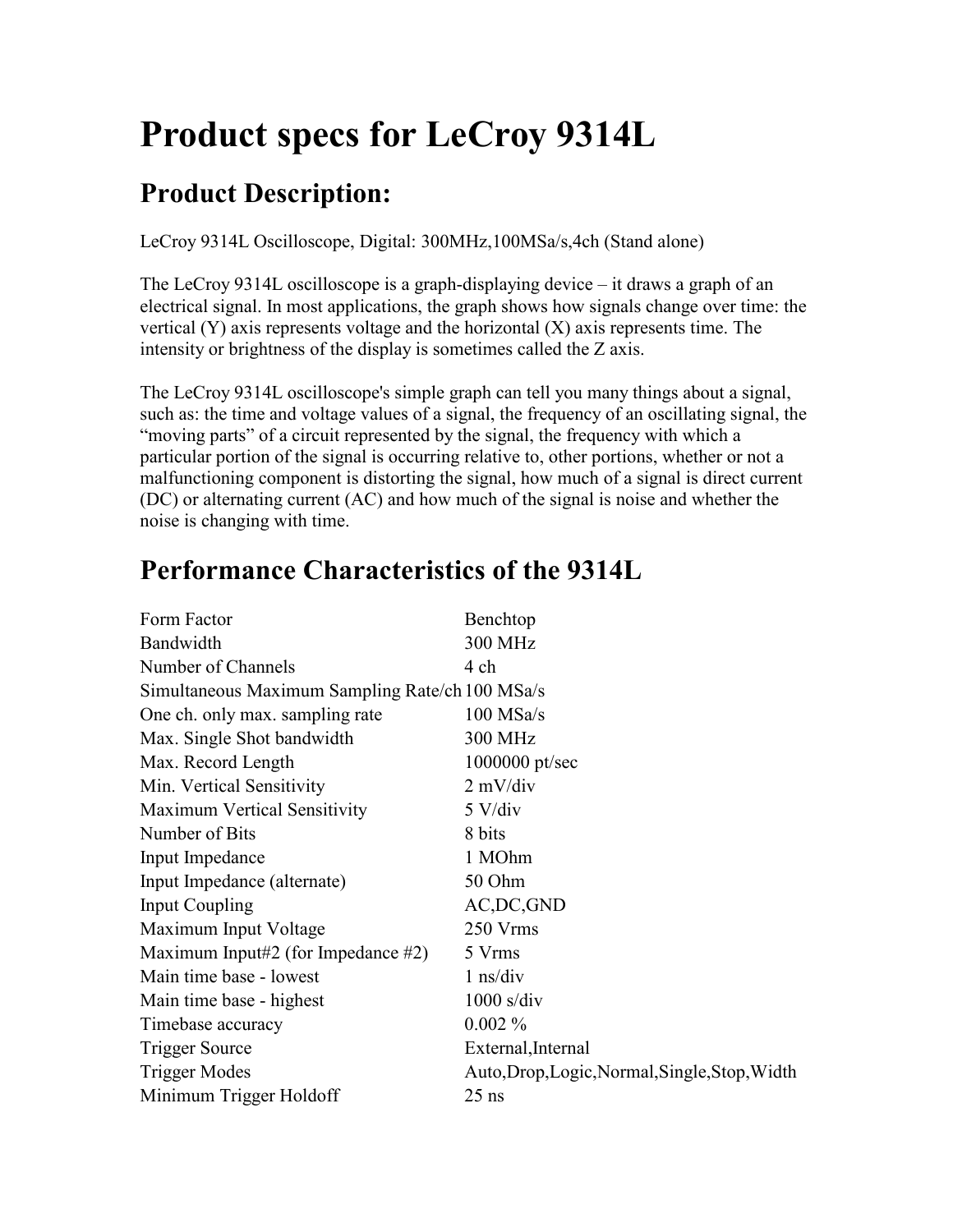# **Product specs for LeCroy 9314L**

## **Product Description:**

LeCroy 9314L Oscilloscope, Digital: 300MHz,100MSa/s,4ch (Stand alone)

The LeCroy 9314L oscilloscope is a graph-displaying device – it draws a graph of an electrical signal. In most applications, the graph shows how signals change over time: the vertical (Y) axis represents voltage and the horizontal (X) axis represents time. The intensity or brightness of the display is sometimes called the Z axis.

The LeCroy 9314L oscilloscope's simple graph can tell you many things about a signal, such as: the time and voltage values of a signal, the frequency of an oscillating signal, the "moving parts" of a circuit represented by the signal, the frequency with which a particular portion of the signal is occurring relative to, other portions, whether or not a malfunctioning component is distorting the signal, how much of a signal is direct current (DC) or alternating current (AC) and how much of the signal is noise and whether the noise is changing with time.

| Benchtop                                        |  |  |
|-------------------------------------------------|--|--|
| <b>300 MHz</b>                                  |  |  |
| 4 ch                                            |  |  |
| Simultaneous Maximum Sampling Rate/ch 100 MSa/s |  |  |
| $100$ MSa/s                                     |  |  |
| 300 MHz                                         |  |  |
| 1000000 pt/sec                                  |  |  |
| $2$ mV/div                                      |  |  |
| $5$ V/div                                       |  |  |
| 8 bits                                          |  |  |
| 1 MOhm                                          |  |  |
| 50 Ohm                                          |  |  |
| AC, DC, GND                                     |  |  |
| 250 Vrms                                        |  |  |
| 5 Vrms                                          |  |  |
| $1$ ns/div                                      |  |  |
| $1000$ s/div                                    |  |  |
| $0.002\%$                                       |  |  |
| External, Internal                              |  |  |
| Auto, Drop, Logic, Normal, Single, Stop, Width  |  |  |
| $25$ ns                                         |  |  |
|                                                 |  |  |

#### **Performance Characteristics of the 9314L**